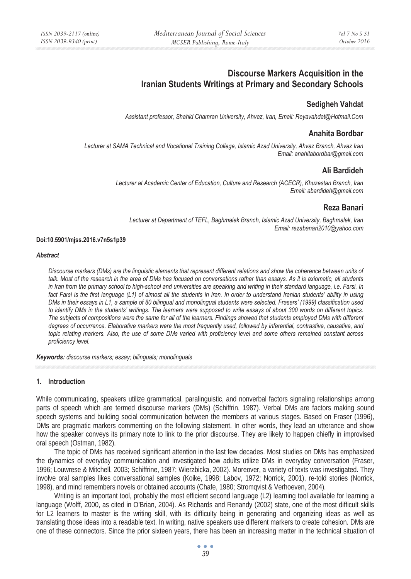# **Discourse Markers Acquisition in the Iranian Students Writings at Primary and Secondary Schools**

## **Sedigheh Vahdat**

*Assistant professor, Shahid Chamran University, Ahvaz, Iran, Email: Reyavahdat@Hotmail.Com* 

## **Anahita Bordbar**

*Lecturer at SAMA Technical and Vocational Training College, Islamic Azad University, Ahvaz Branch, Ahvaz Iran Email: anahitabordbar@gmail.com* 

### **Ali Bardideh**

*Lecturer at Academic Center of Education, Culture and Research (ACECR), Khuzestan Branch, Iran Email: abardideh@gmail.com* 

### **Reza Banari**

*Lecturer at Department of TEFL, Baghmalek Branch, Islamic Azad University, Baghmalek, Iran Email: rezabanari2010@yahoo.com* 

#### **Doi:10.5901/mjss.2016.v7n5s1p39**

#### *Abstract*

*Discourse markers (DMs) are the linguistic elements that represent different relations and show the coherence between units of talk. Most of the research in the area of DMs has focused on conversations rather than essays. As it is axiomatic, all students in Iran from the primary school to high-school and universities are speaking and writing in their standard language, i.e. Farsi. In fact Farsi is the first language (L1) of almost all the students in Iran. In order to understand Iranian students' ability in using DMs in their essays in L1, a sample of 80 bilingual and monolingual students were selected. Frasers' (1999) classification used to identify DMs in the students' writings. The learners were supposed to write essays of about 300 words on different topics. The subjects of compositions were the same for all of the learners. Findings showed that students employed DMs with different degrees of occurrence. Elaborative markers were the most frequently used, followed by inferential, contrastive, causative, and topic relating markers. Also, the use of some DMs varied with proficiency level and some others remained constant across proficiency level.* 

*Keywords: discourse markers; essay; bilinguals; monolinguals*

#### **1. Introduction**

While communicating, speakers utilize grammatical, paralinguistic, and nonverbal factors signaling relationships among parts of speech which are termed discourse markers (DMs) (Schiffrin, 1987). Verbal DMs are factors making sound speech systems and building social communication between the members at various stages. Based on Fraser (1996), DMs are pragmatic markers commenting on the following statement. In other words, they lead an utterance and show how the speaker conveys its primary note to link to the prior discourse. They are likely to happen chiefly in improvised oral speech (Ostman, 1982).

The topic of DMs has received significant attention in the last few decades. Most studies on DMs has emphasized the dynamics of everyday communication and investigated how adults utilize DMs in everyday conversation (Fraser, 1996; Louwrese & Mitchell, 2003; Schiffrine, 1987; Wierzbicka, 2002). Moreover, a variety of texts was investigated. They involve oral samples likes conversational samples (Koike, 1998; Labov, 1972; Norrick, 2001), re-told stories (Norrick, 1998), and mind remembers novels or obtained accounts (Chafe, 1980; Stromqvist & Verhoeven, 2004).

Writing is an important tool, probably the most efficient second language (L2) learning tool available for learning a language (Wolff, 2000, as cited in O'Brian, 2004). As Richards and Renandy (2002) state, one of the most difficult skills for L2 learners to master is the writing skill, with its difficulty being in generating and organizing ideas as well as translating those ideas into a readable text. In writing, native speakers use different markers to create cohesion. DMs are one of these connectors. Since the prior sixteen years, there has been an increasing matter in the technical situation of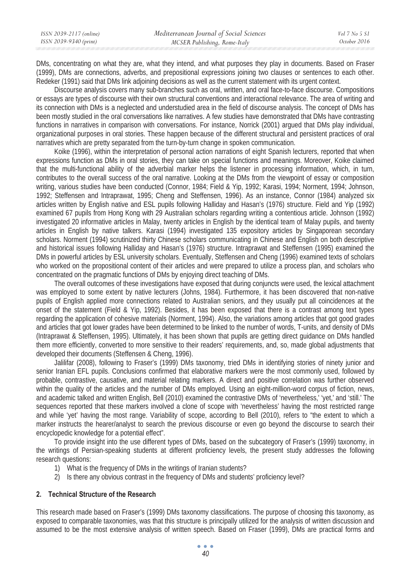DMs, concentrating on what they are, what they intend, and what purposes they play in documents. Based on Fraser (1999), DMs are connections, adverbs, and prepositional expressions joining two clauses or sentences to each other. Redeker (1991) said that DMs link adjoining decisions as well as the current statement with its urgent context.

Discourse analysis covers many sub-branches such as oral, written, and oral face-to-face discourse. Compositions or essays are types of discourse with their own structural conventions and interactional relevance. The area of writing and its connection with DMs is a neglected and understudied area in the field of discourse analysis. The concept of DMs has been mostly studied in the oral conversations like narratives. A few studies have demonstrated that DMs have contrasting functions in narratives in comparison with conversations. For instance, Norrick (2001) argued that DMs play individual, organizational purposes in oral stories. These happen because of the different structural and persistent practices of oral narratives which are pretty separated from the turn-by-turn change in spoken communication.

Koike (1996), within the interpretation of personal action narrations of eight Spanish lecturers, reported that when expressions function as DMs in oral stories, they can take on special functions and meanings. Moreover, Koike claimed that the multi-functional ability of the adverbial marker helps the listener in processing information, which, in turn, contributes to the overall success of the oral narrative. Looking at the DMs from the viewpoint of essay or composition writing, various studies have been conducted (Connor, 1984; Field & Yip, 1992; Karasi, 1994; Norment, 1994; Johnson, 1992; Steffensen and Intraprawat, 1995; Cheng and Steffensen, 1996). As an instance, Connor (1984) analyzed six articles written by English native and ESL pupils following Halliday and Hasan's (1976) structure. Field and Yip (1992) examined 67 pupils from Hong Kong with 29 Australian scholars regarding writing a contentious article. Johnson (1992) investigated 20 informative articles in Malay, twenty articles in English by the identical team of Malay pupils, and twenty articles in English by native talkers. Karasi (1994) investigated 135 expository articles by Singaporean secondary scholars. Norment (1994) scrutinized thirty Chinese scholars communicating in Chinese and English on both descriptive and historical issues following Halliday and Hasan's (1976) structure. Intraprawat and Steffensen (1995) examined the DMs in powerful articles by ESL university scholars. Eventually, Steffensen and Cheng (1996) examined texts of scholars who worked on the propositional content of their articles and were prepared to utilize a process plan, and scholars who concentrated on the pragmatic functions of DMs by enjoying direct teaching of DMs.

The overall outcomes of these investigations have exposed that during conjuncts were used, the lexical attachment was employed to some extent by native lecturers (Johns, 1984). Furthermore, it has been discovered that non-native pupils of English applied more connections related to Australian seniors, and they usually put all coincidences at the onset of the statement (Field & Yip, 1992). Besides, it has been exposed that there is a contrast among text types regarding the application of cohesive materials (Norment, 1994). Also, the variations among articles that got good grades and articles that got lower grades have been determined to be linked to the number of words, T-units, and density of DMs (Intraprawat & Steffensen, 1995). Ultimately, it has been shown that pupils are getting direct guidance on DMs handled them more efficiently, converted to more sensitive to their readers' requirements, and, so, made global adjustments that developed their documents (Steffensen & Cheng, 1996).

Jalilifar (2008), following to Fraser's (1999) DMs taxonomy, tried DMs in identifying stories of ninety junior and senior Iranian EFL pupils. Conclusions confirmed that elaborative markers were the most commonly used, followed by probable, contrastive, causative, and material relating markers. A direct and positive correlation was further observed within the quality of the articles and the number of DMs employed. Using an eight-million-word corpus of fiction, news, and academic talked and written English, Bell (2010) examined the contrastive DMs of 'nevertheless,' 'yet,' and 'still.' The sequences reported that these markers involved a clone of scope with 'nevertheless' having the most restricted range and while 'yet' having the most range. Variability of scope, according to Bell (2010), refers to "the extent to which a marker instructs the hearer/analyst to search the previous discourse or even go beyond the discourse to search their encyclopedic knowledge for a potential effect".

To provide insight into the use different types of DMs, based on the subcategory of Fraser's (1999) taxonomy, in the writings of Persian-speaking students at different proficiency levels, the present study addresses the following research questions:

- 1) What is the frequency of DMs in the writings of Iranian students?
- 2) Is there any obvious contrast in the frequency of DMs and students' proficiency level?

### **2. Technical Structure of the Research**

This research made based on Fraser's (1999) DMs taxonomy classifications. The purpose of choosing this taxonomy, as exposed to comparable taxonomies, was that this structure is principally utilized for the analysis of written discussion and assumed to be the most extensive analysis of written speech. Based on Fraser (1999), DMs are practical forms and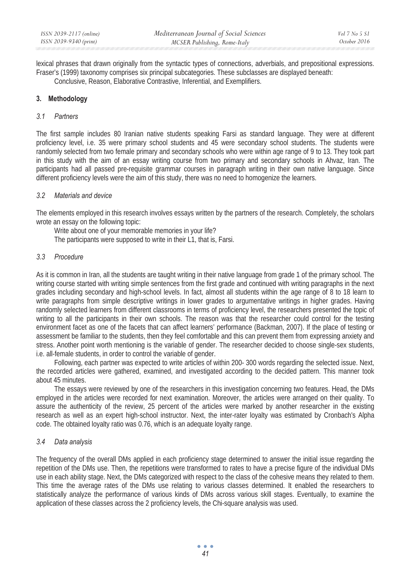lexical phrases that drawn originally from the syntactic types of connections, adverbials, and prepositional expressions. Fraser's (1999) taxonomy comprises six principal subcategories. These subclasses are displayed beneath:

Conclusive, Reason, Elaborative Contrastive, Inferential, and Exemplifiers.

### **3. Methodology**

#### *3.1 Partners*

The first sample includes 80 Iranian native students speaking Farsi as standard language. They were at different proficiency level, i.e. 35 were primary school students and 45 were secondary school students. The students were randomly selected from two female primary and secondary schools who were within age range of 9 to 13. They took part in this study with the aim of an essay writing course from two primary and secondary schools in Ahvaz, Iran. The participants had all passed pre-requisite grammar courses in paragraph writing in their own native language. Since different proficiency levels were the aim of this study, there was no need to homogenize the learners.

### *3.2 Materials and device*

The elements employed in this research involves essays written by the partners of the research. Completely, the scholars wrote an essay on the following topic:

Write about one of your memorable memories in your life?

The participants were supposed to write in their L1, that is, Farsi.

### *3.3 Procedure*

As it is common in Iran, all the students are taught writing in their native language from grade 1 of the primary school. The writing course started with writing simple sentences from the first grade and continued with writing paragraphs in the next grades including secondary and high-school levels. In fact, almost all students within the age range of 8 to 18 learn to write paragraphs from simple descriptive writings in lower grades to argumentative writings in higher grades. Having randomly selected learners from different classrooms in terms of proficiency level, the researchers presented the topic of writing to all the participants in their own schools. The reason was that the researcher could control for the testing environment facet as one of the facets that can affect learners' performance (Backman, 2007). If the place of testing or assessment be familiar to the students, then they feel comfortable and this can prevent them from expressing anxiety and stress. Another point worth mentioning is the variable of gender. The researcher decided to choose single-sex students, i.e. all-female students, in order to control the variable of gender.

Following, each partner was expected to write articles of within 200- 300 words regarding the selected issue. Next, the recorded articles were gathered, examined, and investigated according to the decided pattern. This manner took about 45 minutes.

The essays were reviewed by one of the researchers in this investigation concerning two features. Head, the DMs employed in the articles were recorded for next examination. Moreover, the articles were arranged on their quality. To assure the authenticity of the review, 25 percent of the articles were marked by another researcher in the existing research as well as an expert high-school instructor. Next, the inter-rater loyalty was estimated by Cronbach's Alpha code. The obtained loyalty ratio was 0.76, which is an adequate loyalty range.

#### *3.4 Data analysis*

The frequency of the overall DMs applied in each proficiency stage determined to answer the initial issue regarding the repetition of the DMs use. Then, the repetitions were transformed to rates to have a precise figure of the individual DMs use in each ability stage. Next, the DMs categorized with respect to the class of the cohesive means they related to them. This time the average rates of the DMs use relating to various classes determined. It enabled the researchers to statistically analyze the performance of various kinds of DMs across various skill stages. Eventually, to examine the application of these classes across the 2 proficiency levels, the Chi-square analysis was used.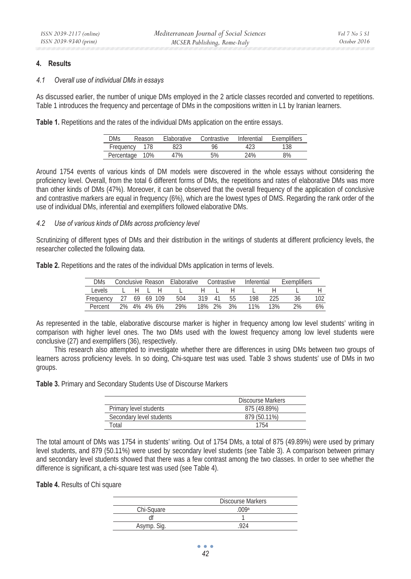#### **4. Results**

#### *4.1 Overall use of individual DMs in essays*

As discussed earlier, the number of unique DMs employed in the 2 article classes recorded and converted to repetitions. Table 1 introduces the frequency and percentage of DMs in the compositions written in L1 by Iranian learners.

**Table 1.** Repetitions and the rates of the individual DMs application on the entire essays.

| <b>DMs</b> | Reason | <b>Flaborative</b> | Contrastive | Inferential | Exemplifiers |
|------------|--------|--------------------|-------------|-------------|--------------|
| Frequency  | 178    | 823                | 96          |             | 138          |
| Percentage | 10%    | 7%                 | 5%          | 24%         | 8%           |

Around 1754 events of various kinds of DM models were discovered in the whole essays without considering the proficiency level. Overall, from the total 6 different forms of DMs, the repetitions and rates of elaborative DMs was more than other kinds of DMs (47%). Moreover, it can be observed that the overall frequency of the application of conclusive and contrastive markers are equal in frequency (6%), which are the lowest types of DMS. Regarding the rank order of the use of individual DMs, inferential and exemplifiers followed elaborative DMs.

#### *4.2 Use of various kinds of DMs across proficiency level*

Scrutinizing of different types of DMs and their distribution in the writings of students at different proficiency levels, the researcher collected the following data.

**Table 2.** Repetitions and the rates of the individual DMs application in terms of levels.

| <b>DMs</b> | Conclusive Reason |             |   | Elaborative |        | Contrastive |    | Inferential |     | <b>Exemplifiers</b> |      |
|------------|-------------------|-------------|---|-------------|--------|-------------|----|-------------|-----|---------------------|------|
| Levels     |                   |             | н |             |        |             |    |             |     |                     |      |
| Frequency  |                   | 69 69 109   |   | 504         | 319    | 41          | 55 | 198         | ንን5 | 36                  | 102. |
| Percent    |                   | 2% 4% 4% 6% |   | 29%         | 18% 2% |             | 3% | 11%         | 13% | 2%                  | 6%   |

As represented in the table, elaborative discourse marker is higher in frequency among low level students' writing in comparison with higher level ones. The two DMs used with the lowest frequency among low level students were conclusive (27) and exemplifiers (36), respectively.

This research also attempted to investigate whether there are differences in using DMs between two groups of learners across proficiency levels. In so doing, Chi-square test was used. Table 3 shows students' use of DMs in two groups.

**Table 3.** Primary and Secondary Students Use of Discourse Markers

|                          | Discourse Markers |
|--------------------------|-------------------|
| Primary level students   | 875 (49.89%)      |
| Secondary level students | 879 (50.11%)      |
| Total                    | 1754              |

The total amount of DMs was 1754 in students' writing. Out of 1754 DMs, a total of 875 (49.89%) were used by primary level students, and 879 (50.11%) were used by secondary level students (see Table 3). A comparison between primary and secondary level students showed that there was a few contrast among the two classes. In order to see whether the difference is significant, a chi-square test was used (see Table 4).

#### **Table 4.** Results of Chi square

|             | <b>Discourse Markers</b> |
|-------------|--------------------------|
| Chi-Square  | ∩∩Qa                     |
|             |                          |
| Asymp. Sig. |                          |

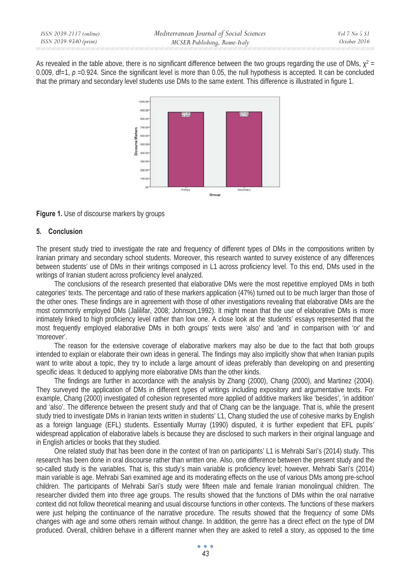As revealed in the table above, there is no significant difference between the two groups regarding the use of DMs,  $\chi^2$  = 0.009, df=1, *p* =0.924. Since the significant level is more than 0.05, the null hypothesis is accepted. It can be concluded that the primary and secondary level students use DMs to the same extent. This difference is illustrated in figure 1.



**Figure 1.** Use of discourse markers by groups

### **5. Conclusion**

The present study tried to investigate the rate and frequency of different types of DMs in the compositions written by Iranian primary and secondary school students. Moreover, this research wanted to survey existence of any differences between students' use of DMs in their writings composed in L1 across proficiency level. To this end, DMs used in the writings of Iranian student across proficiency level analyzed.

The conclusions of the research presented that elaborative DMs were the most repetitive employed DMs in both categories' texts. The percentage and ratio of these markers application (47%) turned out to be much larger than those of the other ones. These findings are in agreement with those of other investigations revealing that elaborative DMs are the most commonly employed DMs (Jalilifar, 2008; Johnson,1992). It might mean that the use of elaborative DMs is more intimately linked to high proficiency level rather than low one. A close look at the students' essays represented that the most frequently employed elaborative DMs in both groups' texts were 'also' and 'and' in comparison with 'or' and 'moreover'.

The reason for the extensive coverage of elaborative markers may also be due to the fact that both groups intended to explain or elaborate their own ideas in general. The findings may also implicitly show that when Iranian pupils want to write about a topic, they try to include a large amount of ideas preferably than developing on and presenting specific ideas. It deduced to applying more elaborative DMs than the other kinds.

The findings are further in accordance with the analysis by Zhang (2000), Chang (2000), and Martinez (2004). They surveyed the application of DMs in different types of writings including expository and argumentative texts. For example, Chang (2000) investigated of cohesion represented more applied of additive markers like 'besides', 'in addition' and 'also'. The difference between the present study and that of Chang can be the language. That is, while the present study tried to investigate DMs in Iranian texts written in students' L1, Chang studied the use of cohesive marks by English as a foreign language (EFL) students. Essentially Murray (1990) disputed, it is further expedient that EFL pupils' widespread application of elaborative labels is because they are disclosed to such markers in their original language and in English articles or books that they studied.

One related study that has been done in the context of Iran on participants' L1 is Mehrabi Sari's (2014) study. This research has been done in oral discourse rather than written one. Also, one difference between the present study and the so-called study is the variables. That is, this study's main variable is proficiency level; however, Mehrabi Sari's (2014) main variable is age. Mehrabi Sari examined age and its moderating effects on the use of various DMs among pre-school children. The participants of Mehrabi Sari's study were fifteen male and female Iranian monolingual children. The researcher divided them into three age groups. The results showed that the functions of DMs within the oral narrative context did not follow theoretical meaning and usual discourse functions in other contexts. The functions of these markers were just helping the continuance of the narrative procedure. The results showed that the frequency of some DMs changes with age and some others remain without change. In addition, the genre has a direct effect on the type of DM produced. Overall, children behave in a different manner when they are asked to retell a story, as opposed to the time